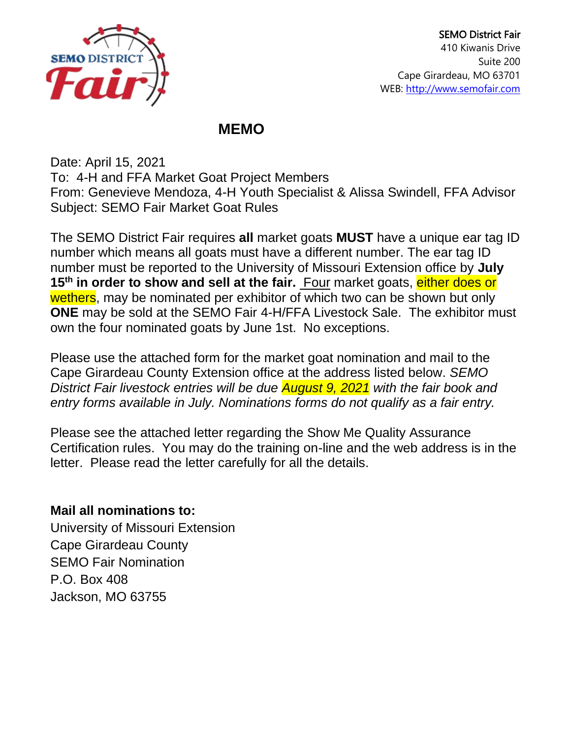

## **MEMO**

Date: April 15, 2021 To: 4-H and FFA Market Goat Project Members From: Genevieve Mendoza, 4-H Youth Specialist & Alissa Swindell, FFA Advisor Subject: SEMO Fair Market Goat Rules

The SEMO District Fair requires **all** market goats **MUST** have a unique ear tag ID number which means all goats must have a different number. The ear tag ID number must be reported to the University of Missouri Extension office by **July 15th in order to show and sell at the fair.** Four market goats, either does or wethers, may be nominated per exhibitor of which two can be shown but only **ONE** may be sold at the SEMO Fair 4-H/FFA Livestock Sale. The exhibitor must own the four nominated goats by June 1st. No exceptions.

Please use the attached form for the market goat nomination and mail to the Cape Girardeau County Extension office at the address listed below. *SEMO District Fair livestock entries will be due August 9, 2021 with the fair book and entry forms available in July. Nominations forms do not qualify as a fair entry.* 

Please see the attached letter regarding the Show Me Quality Assurance Certification rules. You may do the training on-line and the web address is in the letter. Please read the letter carefully for all the details.

## **Mail all nominations to:**

University of Missouri Extension Cape Girardeau County SEMO Fair Nomination P.O. Box 408 Jackson, MO 63755